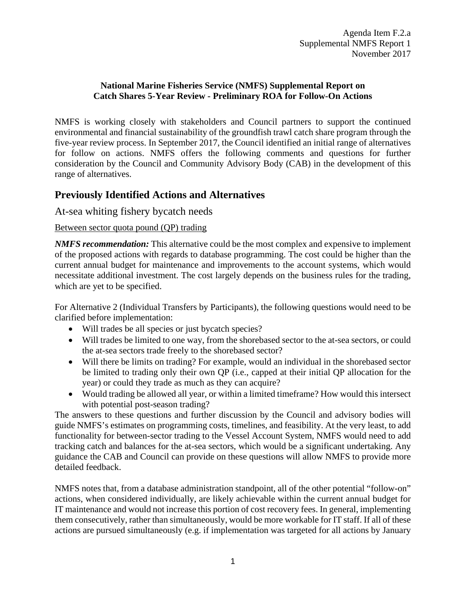### **National Marine Fisheries Service (NMFS) Supplemental Report on Catch Shares 5-Year Review - Preliminary ROA for Follow-On Actions**

NMFS is working closely with stakeholders and Council partners to support the continued environmental and financial sustainability of the groundfish trawl catch share program through the five-year review process. In September 2017, the Council identified an initial range of alternatives for follow on actions. NMFS offers the following comments and questions for further consideration by the Council and Community Advisory Body (CAB) in the development of this range of alternatives.

# **Previously Identified Actions and Alternatives**

# At-sea whiting fishery bycatch needs

#### Between sector quota pound (QP) trading

*NMFS recommendation:* This alternative could be the most complex and expensive to implement of the proposed actions with regards to database programming. The cost could be higher than the current annual budget for maintenance and improvements to the account systems, which would necessitate additional investment. The cost largely depends on the business rules for the trading, which are yet to be specified.

For Alternative 2 (Individual Transfers by Participants), the following questions would need to be clarified before implementation:

- Will trades be all species or just bycatch species?
- Will trades be limited to one way, from the shorebased sector to the at-sea sectors, or could the at-sea sectors trade freely to the shorebased sector?
- Will there be limits on trading? For example, would an individual in the shorebased sector be limited to trading only their own QP (i.e., capped at their initial QP allocation for the year) or could they trade as much as they can acquire?
- Would trading be allowed all year, or within a limited timeframe? How would this intersect with potential post-season trading?

The answers to these questions and further discussion by the Council and advisory bodies will guide NMFS's estimates on programming costs, timelines, and feasibility. At the very least, to add functionality for between-sector trading to the Vessel Account System, NMFS would need to add tracking catch and balances for the at-sea sectors, which would be a significant undertaking. Any guidance the CAB and Council can provide on these questions will allow NMFS to provide more detailed feedback.

NMFS notes that, from a database administration standpoint, all of the other potential "follow-on" actions, when considered individually, are likely achievable within the current annual budget for IT maintenance and would not increase this portion of cost recovery fees. In general, implementing them consecutively, rather than simultaneously, would be more workable for IT staff. If all of these actions are pursued simultaneously (e.g. if implementation was targeted for all actions by January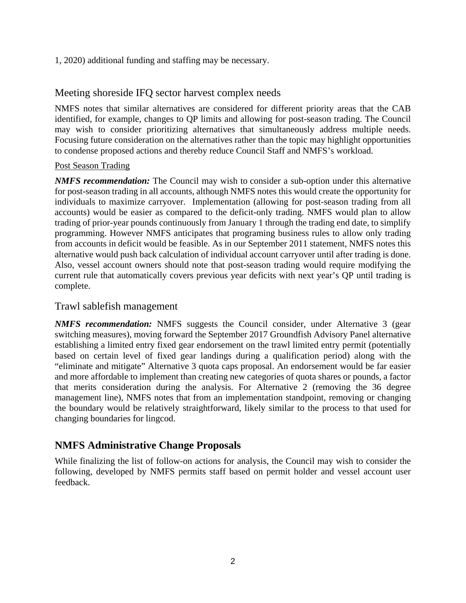1, 2020) additional funding and staffing may be necessary.

# Meeting shoreside IFQ sector harvest complex needs

NMFS notes that similar alternatives are considered for different priority areas that the CAB identified, for example, changes to QP limits and allowing for post-season trading. The Council may wish to consider prioritizing alternatives that simultaneously address multiple needs. Focusing future consideration on the alternatives rather than the topic may highlight opportunities to condense proposed actions and thereby reduce Council Staff and NMFS's workload.

### Post Season Trading

*NMFS recommendation:* The Council may wish to consider a sub-option under this alternative for post-season trading in all accounts, although NMFS notes this would create the opportunity for individuals to maximize carryover. Implementation (allowing for post-season trading from all accounts) would be easier as compared to the deficit-only trading. NMFS would plan to allow trading of prior-year pounds continuously from January 1 through the trading end date, to simplify programming. However NMFS anticipates that programing business rules to allow only trading from accounts in deficit would be feasible. As in our September 2011 statement, NMFS notes this alternative would push back calculation of individual account carryover until after trading is done. Also, vessel account owners should note that post-season trading would require modifying the current rule that automatically covers previous year deficits with next year's QP until trading is complete.

## Trawl sablefish management

*NMFS recommendation:* NMFS suggests the Council consider, under Alternative 3 (gear switching measures), moving forward the September 2017 Groundfish Advisory Panel alternative establishing a limited entry fixed gear endorsement on the trawl limited entry permit (potentially based on certain level of fixed gear landings during a qualification period) along with the "eliminate and mitigate" Alternative 3 quota caps proposal. An endorsement would be far easier and more affordable to implement than creating new categories of quota shares or pounds, a factor that merits consideration during the analysis. For Alternative 2 (removing the 36 degree management line), NMFS notes that from an implementation standpoint, removing or changing the boundary would be relatively straightforward, likely similar to the process to that used for changing boundaries for lingcod.

# **NMFS Administrative Change Proposals**

While finalizing the list of follow-on actions for analysis, the Council may wish to consider the following, developed by NMFS permits staff based on permit holder and vessel account user feedback.